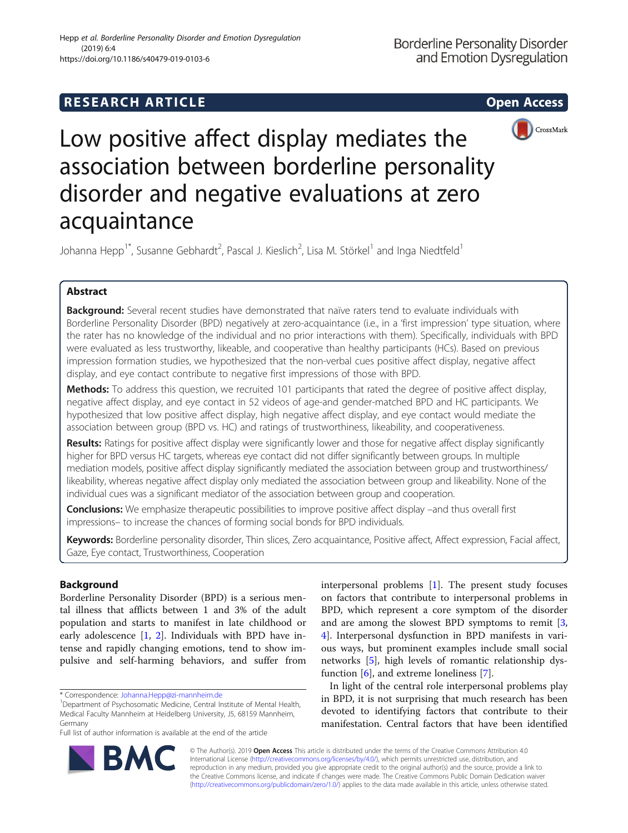# **RESEARCH ARTICLE Example 2014 CONSIDERING CONSIDERING CONSIDERING CONSIDERING CONSIDERING CONSIDERING CONSIDERING CONSIDERING CONSIDERING CONSIDERING CONSIDERING CONSIDERING CONSIDERING CONSIDERING CONSIDERING CONSIDE**



Low positive affect display mediates the association between borderline personality disorder and negative evaluations at zero acquaintance

Johanna Hepp<sup>1\*</sup>, Susanne Gebhardt<sup>2</sup>, Pascal J. Kieslich<sup>2</sup>, Lisa M. Störkel<sup>1</sup> and Inga Niedtfeld<sup>1</sup>

## Abstract

Background: Several recent studies have demonstrated that naïve raters tend to evaluate individuals with Borderline Personality Disorder (BPD) negatively at zero-acquaintance (i.e., in a 'first impression' type situation, where the rater has no knowledge of the individual and no prior interactions with them). Specifically, individuals with BPD were evaluated as less trustworthy, likeable, and cooperative than healthy participants (HCs). Based on previous impression formation studies, we hypothesized that the non-verbal cues positive affect display, negative affect display, and eye contact contribute to negative first impressions of those with BPD.

Methods: To address this question, we recruited 101 participants that rated the degree of positive affect display, negative affect display, and eye contact in 52 videos of age-and gender-matched BPD and HC participants. We hypothesized that low positive affect display, high negative affect display, and eye contact would mediate the association between group (BPD vs. HC) and ratings of trustworthiness, likeability, and cooperativeness.

Results: Ratings for positive affect display were significantly lower and those for negative affect display significantly higher for BPD versus HC targets, whereas eye contact did not differ significantly between groups. In multiple mediation models, positive affect display significantly mediated the association between group and trustworthiness/ likeability, whereas negative affect display only mediated the association between group and likeability. None of the individual cues was a significant mediator of the association between group and cooperation.

Conclusions: We emphasize therapeutic possibilities to improve positive affect display -and thus overall first impressions– to increase the chances of forming social bonds for BPD individuals.

Keywords: Borderline personality disorder, Thin slices, Zero acquaintance, Positive affect, Affect expression, Facial affect, Gaze, Eye contact, Trustworthiness, Cooperation

## Background

Borderline Personality Disorder (BPD) is a serious mental illness that afflicts between 1 and 3% of the adult population and starts to manifest in late childhood or early adolescence  $[1, 2]$  $[1, 2]$  $[1, 2]$ . Individuals with BPD have intense and rapidly changing emotions, tend to show impulsive and self-harming behaviors, and suffer from interpersonal problems [[1\]](#page-6-0). The present study focuses on factors that contribute to interpersonal problems in BPD, which represent a core symptom of the disorder and are among the slowest BPD symptoms to remit [\[3](#page-6-0), [4\]](#page-6-0). Interpersonal dysfunction in BPD manifests in various ways, but prominent examples include small social networks [\[5\]](#page-6-0), high levels of romantic relationship dysfunction [\[6](#page-6-0)], and extreme loneliness [\[7](#page-6-0)].

In light of the central role interpersonal problems play in BPD, it is not surprising that much research has been devoted to identifying factors that contribute to their manifestation. Central factors that have been identified



© The Author(s). 2019 **Open Access** This article is distributed under the terms of the Creative Commons Attribution 4.0 International License [\(http://creativecommons.org/licenses/by/4.0/](http://creativecommons.org/licenses/by/4.0/)), which permits unrestricted use, distribution, and reproduction in any medium, provided you give appropriate credit to the original author(s) and the source, provide a link to the Creative Commons license, and indicate if changes were made. The Creative Commons Public Domain Dedication waiver [\(http://creativecommons.org/publicdomain/zero/1.0/](http://creativecommons.org/publicdomain/zero/1.0/)) applies to the data made available in this article, unless otherwise stated.

<sup>\*</sup> Correspondence: [Johanna.Hepp@zi-mannheim.de](mailto:Johanna.Hepp@zi-mannheim.de) <sup>1</sup>

<sup>&</sup>lt;sup>1</sup>Department of Psychosomatic Medicine, Central Institute of Mental Health, Medical Faculty Mannheim at Heidelberg University, J5, 68159 Mannheim, Germany

Full list of author information is available at the end of the article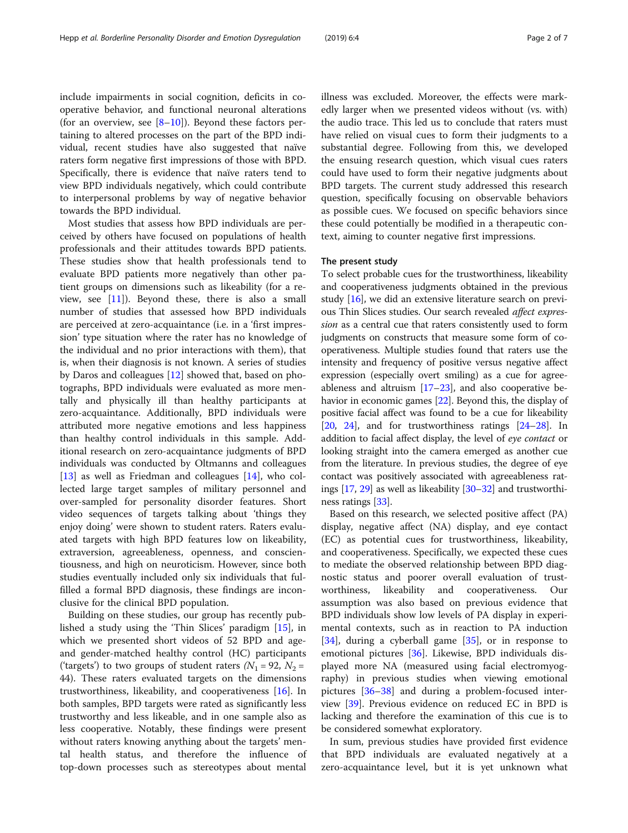include impairments in social cognition, deficits in cooperative behavior, and functional neuronal alterations (for an overview, see  $[8-10]$  $[8-10]$  $[8-10]$  $[8-10]$  $[8-10]$ ). Beyond these factors pertaining to altered processes on the part of the BPD individual, recent studies have also suggested that naïve raters form negative first impressions of those with BPD. Specifically, there is evidence that naïve raters tend to view BPD individuals negatively, which could contribute to interpersonal problems by way of negative behavior towards the BPD individual.

Most studies that assess how BPD individuals are perceived by others have focused on populations of health professionals and their attitudes towards BPD patients. These studies show that health professionals tend to evaluate BPD patients more negatively than other patient groups on dimensions such as likeability (for a review, see  $[11]$  $[11]$ ). Beyond these, there is also a small number of studies that assessed how BPD individuals are perceived at zero-acquaintance (i.e. in a 'first impression' type situation where the rater has no knowledge of the individual and no prior interactions with them), that is, when their diagnosis is not known. A series of studies by Daros and colleagues [[12](#page-6-0)] showed that, based on photographs, BPD individuals were evaluated as more mentally and physically ill than healthy participants at zero-acquaintance. Additionally, BPD individuals were attributed more negative emotions and less happiness than healthy control individuals in this sample. Additional research on zero-acquaintance judgments of BPD individuals was conducted by Oltmanns and colleagues [[13\]](#page-6-0) as well as Friedman and colleagues [\[14\]](#page-6-0), who collected large target samples of military personnel and over-sampled for personality disorder features. Short video sequences of targets talking about 'things they enjoy doing' were shown to student raters. Raters evaluated targets with high BPD features low on likeability, extraversion, agreeableness, openness, and conscientiousness, and high on neuroticism. However, since both studies eventually included only six individuals that fulfilled a formal BPD diagnosis, these findings are inconclusive for the clinical BPD population.

Building on these studies, our group has recently published a study using the 'Thin Slices' paradigm [\[15](#page-6-0)], in which we presented short videos of 52 BPD and ageand gender-matched healthy control (HC) participants ('targets') to two groups of student raters ( $N_1$  = 92,  $N_2$  = 44). These raters evaluated targets on the dimensions trustworthiness, likeability, and cooperativeness [[16](#page-6-0)]. In both samples, BPD targets were rated as significantly less trustworthy and less likeable, and in one sample also as less cooperative. Notably, these findings were present without raters knowing anything about the targets' mental health status, and therefore the influence of top-down processes such as stereotypes about mental

illness was excluded. Moreover, the effects were markedly larger when we presented videos without (vs. with) the audio trace. This led us to conclude that raters must have relied on visual cues to form their judgments to a substantial degree. Following from this, we developed the ensuing research question, which visual cues raters could have used to form their negative judgments about BPD targets. The current study addressed this research question, specifically focusing on observable behaviors as possible cues. We focused on specific behaviors since these could potentially be modified in a therapeutic context, aiming to counter negative first impressions.

## The present study

To select probable cues for the trustworthiness, likeability and cooperativeness judgments obtained in the previous study [\[16](#page-6-0)], we did an extensive literature search on previous Thin Slices studies. Our search revealed affect expression as a central cue that raters consistently used to form judgments on constructs that measure some form of cooperativeness. Multiple studies found that raters use the intensity and frequency of positive versus negative affect expression (especially overt smiling) as a cue for agreeableness and altruism  $[17–23]$  $[17–23]$  $[17–23]$  $[17–23]$ , and also cooperative behavior in economic games [[22](#page-6-0)]. Beyond this, the display of positive facial affect was found to be a cue for likeability [[20](#page-6-0), [24\]](#page-6-0), and for trustworthiness ratings [\[24](#page-6-0)–[28](#page-6-0)]. In addition to facial affect display, the level of eye contact or looking straight into the camera emerged as another cue from the literature. In previous studies, the degree of eye contact was positively associated with agreeableness ratings [[17](#page-6-0), [29\]](#page-6-0) as well as likeability [[30](#page-6-0)–[32\]](#page-6-0) and trustworthiness ratings [\[33\]](#page-6-0).

Based on this research, we selected positive affect (PA) display, negative affect (NA) display, and eye contact (EC) as potential cues for trustworthiness, likeability, and cooperativeness. Specifically, we expected these cues to mediate the observed relationship between BPD diagnostic status and poorer overall evaluation of trustworthiness, likeability and cooperativeness. Our assumption was also based on previous evidence that BPD individuals show low levels of PA display in experimental contexts, such as in reaction to PA induction  $[34]$  $[34]$ , during a cyberball game  $[35]$  $[35]$ , or in response to emotional pictures [\[36](#page-6-0)]. Likewise, BPD individuals displayed more NA (measured using facial electromyography) in previous studies when viewing emotional pictures [[36](#page-6-0)–[38](#page-6-0)] and during a problem-focused interview [[39](#page-6-0)]. Previous evidence on reduced EC in BPD is lacking and therefore the examination of this cue is to be considered somewhat exploratory.

In sum, previous studies have provided first evidence that BPD individuals are evaluated negatively at a zero-acquaintance level, but it is yet unknown what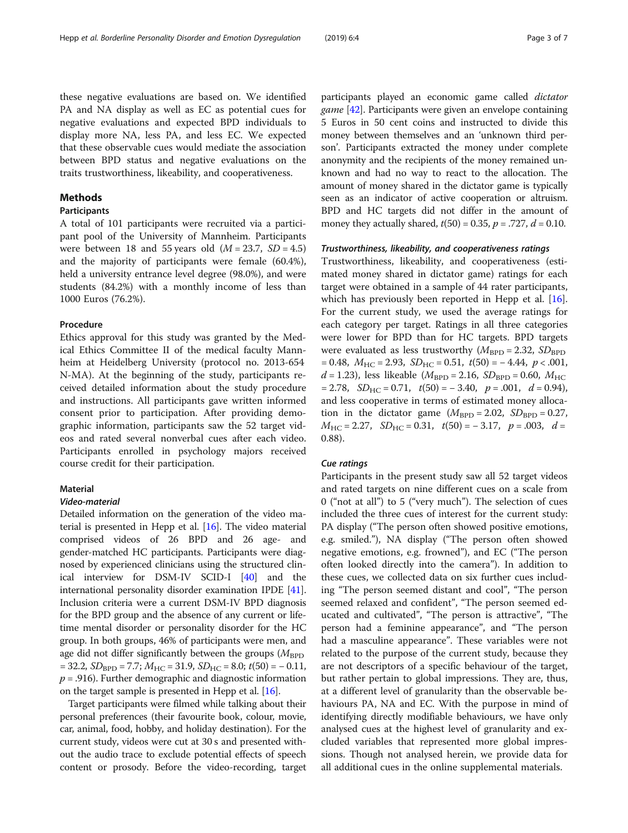these negative evaluations are based on. We identified PA and NA display as well as EC as potential cues for negative evaluations and expected BPD individuals to display more NA, less PA, and less EC. We expected that these observable cues would mediate the association between BPD status and negative evaluations on the traits trustworthiness, likeability, and cooperativeness.

## Methods

## Participants

A total of 101 participants were recruited via a participant pool of the University of Mannheim. Participants were between 18 and 55 years old  $(M = 23.7, SD = 4.5)$ and the majority of participants were female (60.4%), held a university entrance level degree (98.0%), and were students (84.2%) with a monthly income of less than 1000 Euros (76.2%).

#### Procedure

Ethics approval for this study was granted by the Medical Ethics Committee II of the medical faculty Mannheim at Heidelberg University (protocol no. 2013-654 N-MA). At the beginning of the study, participants received detailed information about the study procedure and instructions. All participants gave written informed consent prior to participation. After providing demographic information, participants saw the 52 target videos and rated several nonverbal cues after each video. Participants enrolled in psychology majors received course credit for their participation.

## **Material**

### Video-material

Detailed information on the generation of the video material is presented in Hepp et al. [\[16](#page-6-0)]. The video material comprised videos of 26 BPD and 26 age- and gender-matched HC participants. Participants were diagnosed by experienced clinicians using the structured clinical interview for DSM-IV SCID-I [\[40](#page-6-0)] and the international personality disorder examination IPDE [[41](#page-6-0)]. Inclusion criteria were a current DSM-IV BPD diagnosis for the BPD group and the absence of any current or lifetime mental disorder or personality disorder for the HC group. In both groups, 46% of participants were men, and age did not differ significantly between the groups ( $M_{\rm BPD}$  $= 32.2$ ,  $SD<sub>BPD</sub> = 7.7$ ;  $M<sub>HC</sub> = 31.9$ ,  $SD<sub>HC</sub> = 8.0$ ;  $t(50) = -0.11$ ,  $p = .916$ ). Further demographic and diagnostic information on the target sample is presented in Hepp et al. [\[16\]](#page-6-0).

Target participants were filmed while talking about their personal preferences (their favourite book, colour, movie, car, animal, food, hobby, and holiday destination). For the current study, videos were cut at 30 s and presented without the audio trace to exclude potential effects of speech content or prosody. Before the video-recording, target participants played an economic game called dictator game [[42](#page-6-0)]. Participants were given an envelope containing 5 Euros in 50 cent coins and instructed to divide this money between themselves and an 'unknown third person'. Participants extracted the money under complete anonymity and the recipients of the money remained unknown and had no way to react to the allocation. The amount of money shared in the dictator game is typically seen as an indicator of active cooperation or altruism. BPD and HC targets did not differ in the amount of money they actually shared,  $t(50) = 0.35$ ,  $p = .727$ ,  $d = 0.10$ .

#### Trustworthiness, likeability, and cooperativeness ratings

Trustworthiness, likeability, and cooperativeness (estimated money shared in dictator game) ratings for each target were obtained in a sample of 44 rater participants, which has previously been reported in Hepp et al. [\[16](#page-6-0)]. For the current study, we used the average ratings for each category per target. Ratings in all three categories were lower for BPD than for HC targets. BPD targets were evaluated as less trustworthy ( $M_{\text{BPD}} = 2.32$ ,  $SD_{\text{BPD}}$  $= 0.48, M<sub>HC</sub> = 2.93, SD<sub>HC</sub> = 0.51, t(50) = -4.44, p < .001,$  $d = 1.23$ ), less likeable ( $M_{\rm BPD} = 2.16$ ,  $SD_{\rm BPD} = 0.60$ ,  $M_{\rm HC}$  $= 2.78$ ,  $SD<sub>HC</sub> = 0.71$ ,  $t(50) = -3.40$ ,  $p = .001$ ,  $d = 0.94$ ), and less cooperative in terms of estimated money allocation in the dictator game  $(M_{\text{BPD}} = 2.02, SD_{\text{BPD}} = 0.27,$  $M_{\text{HC}} = 2.27$ ,  $SD_{\text{HC}} = 0.31$ ,  $t(50) = -3.17$ ,  $p = .003$ ,  $d =$ 0.88).

### Cue ratings

Participants in the present study saw all 52 target videos and rated targets on nine different cues on a scale from 0 ("not at all") to 5 ("very much"). The selection of cues included the three cues of interest for the current study: PA display ("The person often showed positive emotions, e.g. smiled."), NA display ("The person often showed negative emotions, e.g. frowned"), and EC ("The person often looked directly into the camera"). In addition to these cues, we collected data on six further cues including "The person seemed distant and cool", "The person seemed relaxed and confident", "The person seemed educated and cultivated", "The person is attractive", "The person had a feminine appearance", and "The person had a masculine appearance". These variables were not related to the purpose of the current study, because they are not descriptors of a specific behaviour of the target, but rather pertain to global impressions. They are, thus, at a different level of granularity than the observable behaviours PA, NA and EC. With the purpose in mind of identifying directly modifiable behaviours, we have only analysed cues at the highest level of granularity and excluded variables that represented more global impressions. Though not analysed herein, we provide data for all additional cues in the online supplemental materials.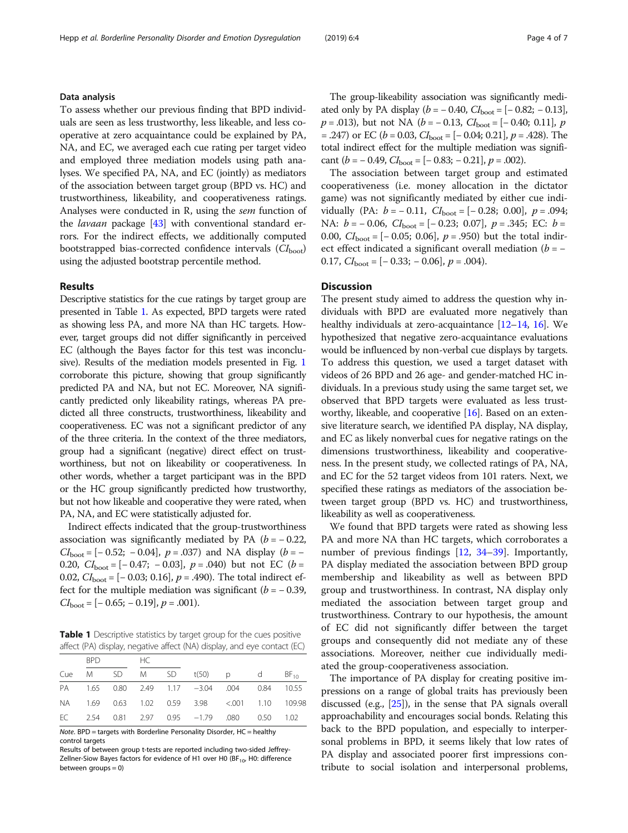## Data analysis

To assess whether our previous finding that BPD individuals are seen as less trustworthy, less likeable, and less cooperative at zero acquaintance could be explained by PA, NA, and EC, we averaged each cue rating per target video and employed three mediation models using path analyses. We specified PA, NA, and EC (jointly) as mediators of the association between target group (BPD vs. HC) and trustworthiness, likeability, and cooperativeness ratings. Analyses were conducted in R, using the sem function of the *lavaan* package  $[43]$  with conventional standard errors. For the indirect effects, we additionally computed bootstrapped bias-corrected confidence intervals  $(Cl_{boot})$ using the adjusted bootstrap percentile method.

## Results

Descriptive statistics for the cue ratings by target group are presented in Table 1. As expected, BPD targets were rated as showing less PA, and more NA than HC targets. However, target groups did not differ significantly in perceived EC (although the Bayes factor for this test was inconclusive). Results of the mediation models presented in Fig. [1](#page-4-0) corroborate this picture, showing that group significantly predicted PA and NA, but not EC. Moreover, NA significantly predicted only likeability ratings, whereas PA predicted all three constructs, trustworthiness, likeability and cooperativeness. EC was not a significant predictor of any of the three criteria. In the context of the three mediators, group had a significant (negative) direct effect on trustworthiness, but not on likeability or cooperativeness. In other words, whether a target participant was in the BPD or the HC group significantly predicted how trustworthy, but not how likeable and cooperative they were rated, when PA, NA, and EC were statistically adjusted for.

Indirect effects indicated that the group-trustworthiness association was significantly mediated by PA ( $b = -0.22$ ,  $CI_{\text{boot}} = [-0.52; -0.04], p = .037$  and NA display  $(b = -$ 0.20,  $CI_{\text{boot}} = [-0.47; -0.03], p = .040$  but not EC (b = 0.02,  $CI_{\text{boot}} = [-0.03; 0.16]$ ,  $p = .490$ ). The total indirect effect for the multiple mediation was significant  $(b = -0.39,$  $CI<sub>boot</sub> = [-0.65; -0.19], p = .001).$ 

**Table 1** Descriptive statistics by target group for the cues positive affect (PA) display, negative affect (NA) display, and eye contact (EC)

|  | BPD and the set of the set of the set of the set of the set of the set of the set of the set of the set of the |  | HC |  |                                               |  |  |
|--|----------------------------------------------------------------------------------------------------------------|--|----|--|-----------------------------------------------|--|--|
|  |                                                                                                                |  |    |  | Cue M SD M SD t(50) p d $BF_{10}$             |  |  |
|  |                                                                                                                |  |    |  | PA 1.65 0.80 2.49 1.17 -3.04 .004 0.84 10.55  |  |  |
|  |                                                                                                                |  |    |  | NA 1.69 0.63 1.02 0.59 3.98 <.001 1.10 109.98 |  |  |
|  |                                                                                                                |  |    |  | EC 2.54 0.81 2.97 0.95 -1.79 .080 0.50 1.02   |  |  |

Note. BPD = targets with Borderline Personality Disorder, HC = healthy control targets

Results of between group t-tests are reported including two-sided Jeffrey-Zellner-Siow Bayes factors for evidence of H1 over H0 (BF $_{10}$ , H0: difference between groups = 0)

The group-likeability association was significantly mediated only by PA display ( $b = -0.40$ ,  $CI_{\text{boot}} = [-0.82; -0.13]$ ,  $p = .013$ ), but not NA ( $b = -0.13$ ,  $CI_{boot} = [-0.40; 0.11]$ , p  $= .247$ ) or EC ( $b = 0.03$ ,  $CI<sub>boot</sub> = [-0.04; 0.21]$ ,  $p = .428$ ). The total indirect effect for the multiple mediation was significant ( $b = -0.49$ ,  $CI<sub>boot</sub> = [-0.83; -0.21]$ ,  $p = .002$ ).

The association between target group and estimated cooperativeness (i.e. money allocation in the dictator game) was not significantly mediated by either cue individually (PA:  $b = -0.11$ ,  $CI_{boot} = [-0.28; 0.00]$ ,  $p = .094$ ; NA:  $b = -0.06$ ,  $CI_{boot} = [-0.23; 0.07]$ ,  $p = .345$ ; EC:  $b =$ 0.00,  $CI<sub>boot</sub> = [-0.05; 0.06], p = .950$  but the total indirect effect indicated a significant overall mediation ( $b = -$ 0.17,  $CI<sub>boot</sub> = [-0.33; -0.06], p = .004$ .

## **Discussion**

The present study aimed to address the question why individuals with BPD are evaluated more negatively than healthy individuals at zero-acquaintance [\[12](#page-6-0)–[14](#page-6-0), [16\]](#page-6-0). We hypothesized that negative zero-acquaintance evaluations would be influenced by non-verbal cue displays by targets. To address this question, we used a target dataset with videos of 26 BPD and 26 age- and gender-matched HC individuals. In a previous study using the same target set, we observed that BPD targets were evaluated as less trustworthy, likeable, and cooperative  $[16]$ . Based on an extensive literature search, we identified PA display, NA display, and EC as likely nonverbal cues for negative ratings on the dimensions trustworthiness, likeability and cooperativeness. In the present study, we collected ratings of PA, NA, and EC for the 52 target videos from 101 raters. Next, we specified these ratings as mediators of the association between target group (BPD vs. HC) and trustworthiness, likeability as well as cooperativeness.

We found that BPD targets were rated as showing less PA and more NA than HC targets, which corroborates a number of previous findings [\[12,](#page-6-0) [34](#page-6-0)–[39\]](#page-6-0). Importantly, PA display mediated the association between BPD group membership and likeability as well as between BPD group and trustworthiness. In contrast, NA display only mediated the association between target group and trustworthiness. Contrary to our hypothesis, the amount of EC did not significantly differ between the target groups and consequently did not mediate any of these associations. Moreover, neither cue individually mediated the group-cooperativeness association.

The importance of PA display for creating positive impressions on a range of global traits has previously been discussed (e.g., [\[25\]](#page-6-0)), in the sense that PA signals overall approachability and encourages social bonds. Relating this back to the BPD population, and especially to interpersonal problems in BPD, it seems likely that low rates of PA display and associated poorer first impressions contribute to social isolation and interpersonal problems,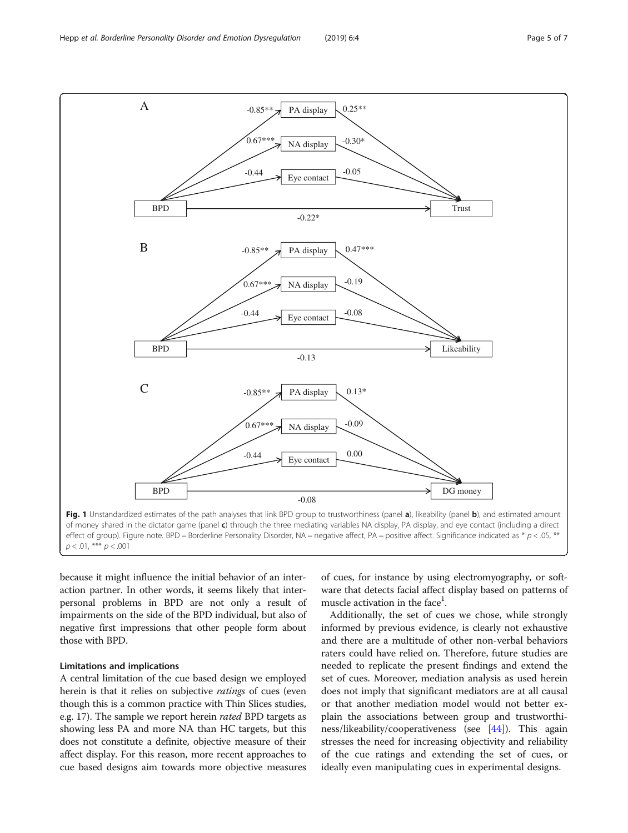<span id="page-4-0"></span>

because it might influence the initial behavior of an interaction partner. In other words, it seems likely that interpersonal problems in BPD are not only a result of impairments on the side of the BPD individual, but also of negative first impressions that other people form about those with BPD.

## Limitations and implications

A central limitation of the cue based design we employed herein is that it relies on subjective *ratings* of cues (even though this is a common practice with Thin Slices studies, e.g. 17). The sample we report herein rated BPD targets as showing less PA and more NA than HC targets, but this does not constitute a definite, objective measure of their affect display. For this reason, more recent approaches to cue based designs aim towards more objective measures of cues, for instance by using electromyography, or software that detects facial affect display based on patterns of muscle activation in the face<sup>1</sup>.

Additionally, the set of cues we chose, while strongly informed by previous evidence, is clearly not exhaustive and there are a multitude of other non-verbal behaviors raters could have relied on. Therefore, future studies are needed to replicate the present findings and extend the set of cues. Moreover, mediation analysis as used herein does not imply that significant mediators are at all causal or that another mediation model would not better explain the associations between group and trustworthiness/likeability/cooperativeness (see [\[44\]](#page-6-0)). This again stresses the need for increasing objectivity and reliability of the cue ratings and extending the set of cues, or ideally even manipulating cues in experimental designs.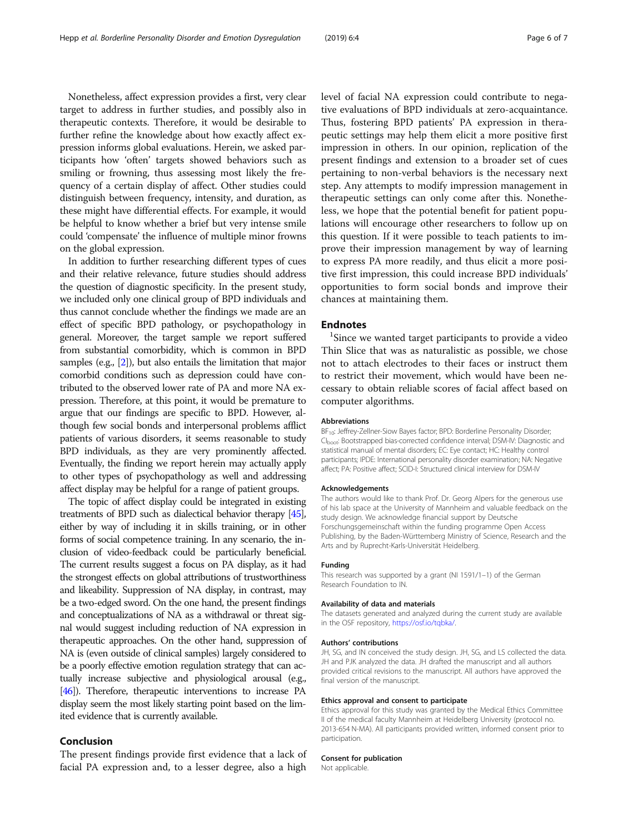Nonetheless, affect expression provides a first, very clear target to address in further studies, and possibly also in therapeutic contexts. Therefore, it would be desirable to further refine the knowledge about how exactly affect expression informs global evaluations. Herein, we asked participants how 'often' targets showed behaviors such as smiling or frowning, thus assessing most likely the frequency of a certain display of affect. Other studies could distinguish between frequency, intensity, and duration, as these might have differential effects. For example, it would be helpful to know whether a brief but very intense smile could 'compensate' the influence of multiple minor frowns on the global expression.

In addition to further researching different types of cues and their relative relevance, future studies should address the question of diagnostic specificity. In the present study, we included only one clinical group of BPD individuals and thus cannot conclude whether the findings we made are an effect of specific BPD pathology, or psychopathology in general. Moreover, the target sample we report suffered from substantial comorbidity, which is common in BPD samples (e.g., [\[2](#page-6-0)]), but also entails the limitation that major comorbid conditions such as depression could have contributed to the observed lower rate of PA and more NA expression. Therefore, at this point, it would be premature to argue that our findings are specific to BPD. However, although few social bonds and interpersonal problems afflict patients of various disorders, it seems reasonable to study BPD individuals, as they are very prominently affected. Eventually, the finding we report herein may actually apply to other types of psychopathology as well and addressing affect display may be helpful for a range of patient groups.

The topic of affect display could be integrated in existing treatments of BPD such as dialectical behavior therapy [\[45\]](#page-6-0), either by way of including it in skills training, or in other forms of social competence training. In any scenario, the inclusion of video-feedback could be particularly beneficial. The current results suggest a focus on PA display, as it had the strongest effects on global attributions of trustworthiness and likeability. Suppression of NA display, in contrast, may be a two-edged sword. On the one hand, the present findings and conceptualizations of NA as a withdrawal or threat signal would suggest including reduction of NA expression in therapeutic approaches. On the other hand, suppression of NA is (even outside of clinical samples) largely considered to be a poorly effective emotion regulation strategy that can actually increase subjective and physiological arousal (e.g., [[46\]](#page-6-0)). Therefore, therapeutic interventions to increase PA display seem the most likely starting point based on the limited evidence that is currently available.

## Conclusion

The present findings provide first evidence that a lack of facial PA expression and, to a lesser degree, also a high

level of facial NA expression could contribute to negative evaluations of BPD individuals at zero-acquaintance. Thus, fostering BPD patients' PA expression in therapeutic settings may help them elicit a more positive first impression in others. In our opinion, replication of the present findings and extension to a broader set of cues pertaining to non-verbal behaviors is the necessary next step. Any attempts to modify impression management in therapeutic settings can only come after this. Nonetheless, we hope that the potential benefit for patient populations will encourage other researchers to follow up on this question. If it were possible to teach patients to improve their impression management by way of learning to express PA more readily, and thus elicit a more positive first impression, this could increase BPD individuals' opportunities to form social bonds and improve their chances at maintaining them.

## **Endnotes**

<sup>1</sup>Since we wanted target participants to provide a video Thin Slice that was as naturalistic as possible, we chose not to attach electrodes to their faces or instruct them to restrict their movement, which would have been necessary to obtain reliable scores of facial affect based on computer algorithms.

#### Abbreviations

BF<sub>10</sub>: Jeffrey-Zellner-Siow Bayes factor; BPD: Borderline Personality Disorder; CI<sub>boot</sub>: Bootstrapped bias-corrected confidence interval; DSM-IV: Diagnostic and statistical manual of mental disorders; EC: Eye contact; HC: Healthy control participants; IPDE: International personality disorder examination; NA: Negative affect; PA: Positive affect; SCID-I: Structured clinical interview for DSM-IV

#### Acknowledgements

The authors would like to thank Prof. Dr. Georg Alpers for the generous use of his lab space at the University of Mannheim and valuable feedback on the study design. We acknowledge financial support by Deutsche Forschungsgemeinschaft within the funding programme Open Access Publishing, by the Baden-Württemberg Ministry of Science, Research and the Arts and by Ruprecht-Karls-Universität Heidelberg.

#### Funding

This research was supported by a grant (NI 1591/1–1) of the German Research Foundation to IN.

#### Availability of data and materials

The datasets generated and analyzed during the current study are available in the OSF repository, <https://osf.io/tqbka/>.

#### Authors' contributions

JH, SG, and IN conceived the study design. JH, SG, and LS collected the data. JH and PJK analyzed the data. JH drafted the manuscript and all authors provided critical revisions to the manuscript. All authors have approved the final version of the manuscript.

#### Ethics approval and consent to participate

Ethics approval for this study was granted by the Medical Ethics Committee II of the medical faculty Mannheim at Heidelberg University (protocol no. 2013-654 N-MA). All participants provided written, informed consent prior to participation.

### Consent for publication

Not applicable.